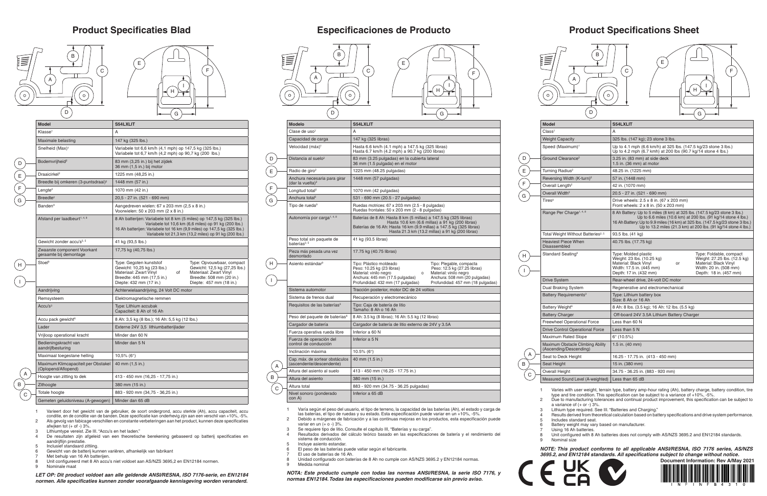## **Product Specifications Sheet**



| Model                                                       | S54LXLIT                                                                                                                                                                                                                                                                                      |  |
|-------------------------------------------------------------|-----------------------------------------------------------------------------------------------------------------------------------------------------------------------------------------------------------------------------------------------------------------------------------------------|--|
| $\mathsf{Class}^7$                                          | A                                                                                                                                                                                                                                                                                             |  |
| <b>Weight Capacity</b>                                      | 325 lbs. (147 kg); 23 stone 3 lbs.                                                                                                                                                                                                                                                            |  |
| Speed (Maximum) <sup>1</sup>                                | Up to 4.1 mph (6.6 km/h) at 325 lbs. (147.5 kg/23 stone 3 lbs.)<br>Up to 4.2 mph (6.7 kmh) at 200 lbs (90.7 kg/14 stone 4 lbs.)                                                                                                                                                               |  |
| Ground Clearance <sup>2</sup>                               | 3.25 in. (83 mm) at side deck<br>$1.5$ in. (36 mm) at motor                                                                                                                                                                                                                                   |  |
| Turning Radius <sup>2</sup>                                 | 48.25 in. (1225 mm)                                                                                                                                                                                                                                                                           |  |
| Reversing Width (K-turn) <sup>2</sup>                       | 57 in. (1448 mm)                                                                                                                                                                                                                                                                              |  |
| Overall Length <sup>2</sup>                                 | 42 in. (1070 mm)                                                                                                                                                                                                                                                                              |  |
| Overall Width <sup>2</sup>                                  | 20.5 - 27 in. (521 - 690 mm)                                                                                                                                                                                                                                                                  |  |
| $\mathsf{Tires}^9$                                          | Drive wheels: 2.5 x 8 in. (67 x 203 mm)<br>Front wheels: 2 x 8 in. (50 x 203 mm)                                                                                                                                                                                                              |  |
| Range Per Charge <sup>1, 4, 8</sup>                         | 8 Ah Battery: Up to 5 miles (8 km) at 325 lbs. (147.5 kg/23 stone 3 lbs.)<br>Up to 6.6 miles (10.6 km) at 200 lbs. (91 kg/14 stone 4 lbs.)<br>16 Ah Battery: Up to 9.9 miles (16 km) at 325 lbs. (147.5 kg/23 stone 3 lbs.)<br>Up to 13.2 miles (21.3 km) at 200 lbs. (91 kg/14 stone 4 lbs.) |  |
| Total Weight Without Batteries <sup>2, 5</sup>              | 93.5 lbs. (41 kg)                                                                                                                                                                                                                                                                             |  |
| Heaviest Piece When<br>Disassembled                         | 40.75 lbs. (17.75 kg)                                                                                                                                                                                                                                                                         |  |
| Standard Seating <sup>9</sup>                               | Type: Molded plastic<br>Type: Foldable, compact<br>Weight: 23 lbs. (10.25 kg)<br>Weight: 27.25 lbs. (12.5 kg)<br>Material: Black Vinyl<br>Material: Black Vinyl<br>or<br>Width: 17.5 in. (445 mm)<br>Width: 20 in. (508 mm)<br>Depth: 17 in. (432 mm)<br>Depth: 18 in. (457 mm)               |  |
| Drive System                                                | Rear-wheel drive, 24-volt DC motor                                                                                                                                                                                                                                                            |  |
| Dual Braking System                                         | Regenerative and electromechanical                                                                                                                                                                                                                                                            |  |
| Battery Requirements <sup>3</sup>                           | Type: Lithium battery box<br>Size: 8 Ah or 16 Ah                                                                                                                                                                                                                                              |  |
| Battery Weight <sup>6</sup>                                 | 8 Ah: 8 lbs. (3.5 kg); 16 Ah: 12 lbs. (5.5 kg)                                                                                                                                                                                                                                                |  |
| <b>Battery Charger</b>                                      | Off-board 24V 3.5A Lithium Battery Charger                                                                                                                                                                                                                                                    |  |
| Freewheel Operational Force                                 | Less than 60 N                                                                                                                                                                                                                                                                                |  |
| <b>Drive Control Operational Force</b>                      | Less than 5 N                                                                                                                                                                                                                                                                                 |  |
| Maximum Rated Slope                                         | $6^{\circ}$ (10.5%)                                                                                                                                                                                                                                                                           |  |
| Maximum Obstacle Climbing Ability<br>(Ascending/Descending) | 1.5 in. $(40 \text{ mm})$                                                                                                                                                                                                                                                                     |  |
| Seat to Deck Height                                         | 16.25 - 17.75 in. (413 - 450 mm)                                                                                                                                                                                                                                                              |  |
| Seat Height                                                 | 15 in. (380 mm)                                                                                                                                                                                                                                                                               |  |
| Overall Height                                              | 34.75 - 36.25 in. (883 - 920 mm)                                                                                                                                                                                                                                                              |  |
| Measured Sound Level (A-weighted) LLess than 65 dB          |                                                                                                                                                                                                                                                                                               |  |

6 Battery weight may vary based on manufacturer. Using 16 Ah batteries

Unit configured with 8 Ah batteries does not comply with AS/NZS 3695.2 and EN12184 standards. Nominal size

### **Product Specificaties Blad Especificaciones de Producto**

1 Varies with user weight, terrain type, battery amp-hour rating (Ah), battery charge, battery condition, tire type and tire condition. This specification can be subject to a variance of +10%, -5%.

2 Due to manufacturing tolerances and continual product improvement, this specification can be subject to a variance of (+ or -) 3%.

3 Lithium type required. See III. "Batteries and Charging."

F  $\mathsf{G}$ 

> 4 Results derived from theoretical calculation based on battery specifications and drive system performance. 5 Includes standard seat.

- 2 Debido a márgenes de fabricación y a las continuas mejoras en los productos, esta especificación puede variar en un  $(+ 0 - 3\%$ .
- 3 Se requiere tipo de litio. Consulte el capitulo III, "Baterías y su carga".
- 4 Resultados derivados del cálculo teórico basado en las especificaciones de batería y el rendimiento del sistema de conducción.
- Incluye asiento estandar

*NOTE: This product conforms to all applicable ANSI/RESNA, ISO 7176 series, AS/NZS 3695.2, and EN12184 standards. All specifications subject to change without notice.*

# B A  $\mathsf{C}$

B

D E

H

I

- El peso de las baterías puede vatiar según el fabricante.
- El uso de baterías de 16 Ah.
- Unidad configurado con baterías de 8 Ah no cumple con AS/NZS 3695.2 y EN12184 normas. Medida nominal

1 Varía según el peso del usuario, el tipo de terreno, la capacidad de las baterías (Ah), el estado y carga de las baterías, el tipo de ruedas y su estado. Esta especificación puede variar en un +10%, -5%.

*NOTA: Este producto cumple con todas las normas ANSI/RESNA, la serie ISO 7176, y normas EN12184. Todas las especificaciones pueden modificarse sin previo aviso.*



| <b>Model</b>                                               | <b>S54LXLIT</b>                                                                                                                                                                                                                                                                                |
|------------------------------------------------------------|------------------------------------------------------------------------------------------------------------------------------------------------------------------------------------------------------------------------------------------------------------------------------------------------|
| Klasse <sup>7</sup>                                        | A                                                                                                                                                                                                                                                                                              |
| Maximale belasting                                         | 147 kg (325 lbs.)                                                                                                                                                                                                                                                                              |
| Snelheid (Max) <sup>1</sup>                                | Variabele tot 6,6 km/h (4,1 mph) op 147,5 kg (325 lbs.)<br>Variabele tot 6,7 km/h (4,2 mph) op 90,7 kg (200 lbs.)                                                                                                                                                                              |
| Bodemvrijheid <sup>2</sup>                                 | 83 mm (3,25 in.) bij het zijdek<br>36 mm (1,5 in.) bij motor                                                                                                                                                                                                                                   |
| Draaicirkel <sup>2</sup>                                   | 1225 mm (48,25 in.)                                                                                                                                                                                                                                                                            |
| Breedte bij omkeren (3-puntsdraai) <sup>2</sup>            | 1448 mm (57 in.)                                                                                                                                                                                                                                                                               |
| $L$ engte <sup>2</sup>                                     | 1070 mm (42 in.)                                                                                                                                                                                                                                                                               |
| Breedte <sup>2</sup>                                       | 20,5 - 27 in. (521 - 690 mm)                                                                                                                                                                                                                                                                   |
| <b>Banden</b> <sup>9</sup>                                 | Aangedreven wielen: 67 x 203 mm (2,5 x 8 in.)<br>Voorwielen: 50 x 203 mm (2 x 8 in.)                                                                                                                                                                                                           |
| Afstand per laadbeurt <sup>1, 4, 8</sup>                   | 8 Ah batterijen: Variabele tot 8 km (5 miles) op 147,5 kg (325 lbs.)<br>Variabele tot 10,6 km (6,6 miles) op 91 kg (200 lbs.)<br>16 Ah batterijen: Variabele tot 16 km (9,9 miles) op 147,5 kg (325 lbs.)<br>Variabele tot 21,3 km (13,2 miles) op 91 kg (200 lbs.)                            |
| Gewicht zonder accu's <sup>2, 5</sup>                      | 41 kg (93,5 lbs.)                                                                                                                                                                                                                                                                              |
| Zwaarste component Voorkant<br>geraamte bij demontage      | 17,75 kg (40,75 lbs.)                                                                                                                                                                                                                                                                          |
| Stoel <sup>9</sup>                                         | Type: Gegoten kunststof<br>Type: Opvouwbaar, compact<br>Gewicht: 10,25 kg (23 lbs.)<br>Gewicht: 12,5 kg (27,25 lbs.)<br>Materiaal: Zwart Vinyl<br>Materiaal: Zwart Vinyl<br>of<br>Breedte: 445 mm (17,5 in.)<br>Breedte: 508 mm (20 in.)<br>Diepte: 432 mm (17 in.)<br>Diepte: 457 mm (18 in.) |
| Aandrijving                                                | Achterwielaandrijving, 24 Volt DC motor                                                                                                                                                                                                                                                        |
| Remsysteem                                                 | Elektromagnetische remmen                                                                                                                                                                                                                                                                      |
| Accu's <sup>3</sup>                                        | Type: Lithium accubak<br>Capaciteit: 8 Ah of 16 Ah                                                                                                                                                                                                                                             |
| Accu pack gewicht <sup>6</sup>                             | 8 Ah: 3,5 kg (8 lbs.); 16 Ah: 5,5 kg (12 lbs.)                                                                                                                                                                                                                                                 |
| Lader                                                      | Externe 24V 3,5 lithiumbatterijlader                                                                                                                                                                                                                                                           |
| Vrijloop operational kracht                                | Minder dan 60 N                                                                                                                                                                                                                                                                                |
| Bedieningskracht van<br>aandrijfbesturing                  | Minder dan 5 N                                                                                                                                                                                                                                                                                 |
| Maximaal toegestane helling                                | 10,5% ( $6^{\circ}$ )                                                                                                                                                                                                                                                                          |
| Maximum Klimcapaciteit per Obstakel<br>(Oplopend/Aflopend) | 40 mm (1,5 in.)                                                                                                                                                                                                                                                                                |
| Hoogte van zitting to dek                                  | 413 - 450 mm (16,25 - 17,75 in.)                                                                                                                                                                                                                                                               |
| Zithoogte                                                  | 380 mm (15 in.)                                                                                                                                                                                                                                                                                |
| Totale hoogte                                              | 883 - 920 mm (34,75 - 36,25 in.)                                                                                                                                                                                                                                                               |
| Gemeten geluidsniveau (A-gewogen)                          | Minder dan 65 dB                                                                                                                                                                                                                                                                               |

- 1 Varieert door het gewicht van de gebruiker, de soort ondergrond, accu sterkte (Ah), accu capaciteit, accu conditie, en de conditie van de banden. Deze specificatie kan onderhevig zijn aan een verschil van +10%, -5%. 2 Als gevolg van fabicage verschillen en constante verbeteringen aan het product, kunnen deze specificaties afwjken tot (+ of -) 3%.
- Lithiumtype vereist. Zie III. "Accu's en het laden."
- De resultaten zijn afgeleid van een theoretische berekening gebaseerd op batterij specificaties en aandrijflijn prestatie.
- 5 Inclusief standaard zittiing.
- 6 Gewicht van de batterij kunnen variëren, afhankelijk van fabrikant
- Met behulp van 16 Ah batterijen.
- Unit configureerd met 8 Ah accu's niet voldoet aan AS/NZS 3695,2 en EN12184 normen.
- 9 Nominale maat

*LET OP: Dit product voldoet aan alle geldende ANSI/RESNA, ISO 7176-serie, en EN12184 normen. Alle specificaties kunnen zonder voorafgaande kennisgeving worden veranderd.*

D





Speed (Ma Ground Cle **Turning Ra** Reversing Overall Len Overall Wid Range Per Total Weight Heaviest P Disassemb Drive Syste Dual Brakin **Battery Re** Battery We Battery Ch Freewheel Drive Control Maximum I Maximum C (Ascending Seat to De Seat Height Overall Hei Measured S A B  $\,$  C D E F  $\epsilon$  $H$  $\boxed{1}$ 

**Model**  $Class<sup>7</sup>$ Weight Cap

- 
- 
- 
- 
- 
- 
-